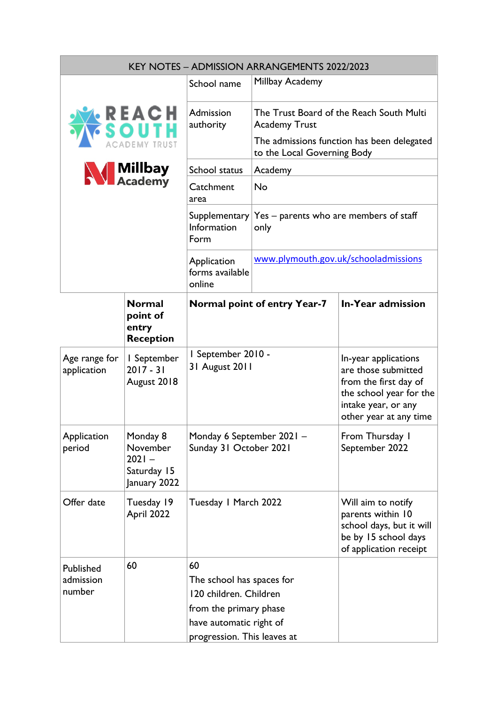| <b>KEY NOTES - ADMISSION ARRANGEMENTS 2022/2023</b>     |                                                                 |                                                                                                                                                                                          |                                                                           |                                                                                                                       |
|---------------------------------------------------------|-----------------------------------------------------------------|------------------------------------------------------------------------------------------------------------------------------------------------------------------------------------------|---------------------------------------------------------------------------|-----------------------------------------------------------------------------------------------------------------------|
| REACH<br>South<br><b>DEMY TRUST</b><br><b>N</b> Millbay |                                                                 | School name                                                                                                                                                                              | Millbay Academy                                                           |                                                                                                                       |
|                                                         |                                                                 | Admission<br>authority                                                                                                                                                                   | The Trust Board of the Reach South Multi<br><b>Academy Trust</b>          |                                                                                                                       |
|                                                         |                                                                 |                                                                                                                                                                                          | The admissions function has been delegated<br>to the Local Governing Body |                                                                                                                       |
|                                                         |                                                                 | School status                                                                                                                                                                            | Academy                                                                   |                                                                                                                       |
|                                                         |                                                                 | Catchment<br>area                                                                                                                                                                        | <b>No</b>                                                                 |                                                                                                                       |
|                                                         |                                                                 | Supplementary<br>Information<br>Form                                                                                                                                                     | Yes – parents who are members of staff<br>only                            |                                                                                                                       |
|                                                         |                                                                 | Application<br>forms available<br>online                                                                                                                                                 | www.plymouth.gov.uk/schooladmissions                                      |                                                                                                                       |
|                                                         | <b>Normal</b><br>point of<br>entry<br><b>Reception</b>          |                                                                                                                                                                                          | <b>Normal point of entry Year-7</b>                                       | <b>In-Year admission</b>                                                                                              |
| Age range for<br>application                            | I September<br>$2017 - 31$<br>August 2018                       | I September 2010 -<br>In-year applications<br>31 August 2011<br>are those submitted<br>from the first day of<br>the school year for the<br>intake year, or any<br>other year at any time |                                                                           |                                                                                                                       |
| Application<br>period                                   | Monday 8<br>November<br>$2021 -$<br>Saturday 15<br>January 2022 | Monday 6 September 2021 -<br>Sunday 31 October 2021                                                                                                                                      |                                                                           | From Thursday I<br>September 2022                                                                                     |
| Offer date                                              | Tuesday 19<br>April 2022                                        | Tuesday I March 2022                                                                                                                                                                     |                                                                           | Will aim to notify<br>parents within 10<br>school days, but it will<br>be by 15 school days<br>of application receipt |
| Published<br>admission<br>number                        | 60                                                              | 60<br>The school has spaces for<br>120 children. Children<br>from the primary phase<br>have automatic right of<br>progression. This leaves at                                            |                                                                           |                                                                                                                       |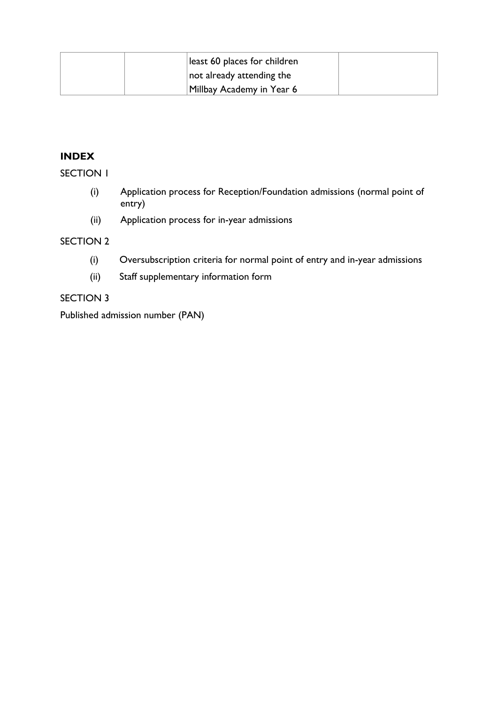|  | least 60 places for children |  |
|--|------------------------------|--|
|  | not already attending the    |  |
|  | Millbay Academy in Year 6    |  |

## **INDEX**

SECTION 1

- (i) Application process for Reception/Foundation admissions (normal point of entry)
- (ii) Application process for in-year admissions

#### SECTION 2

- (i) Oversubscription criteria for normal point of entry and in-year admissions
- (ii) Staff supplementary information form

# SECTION 3

Published admission number (PAN)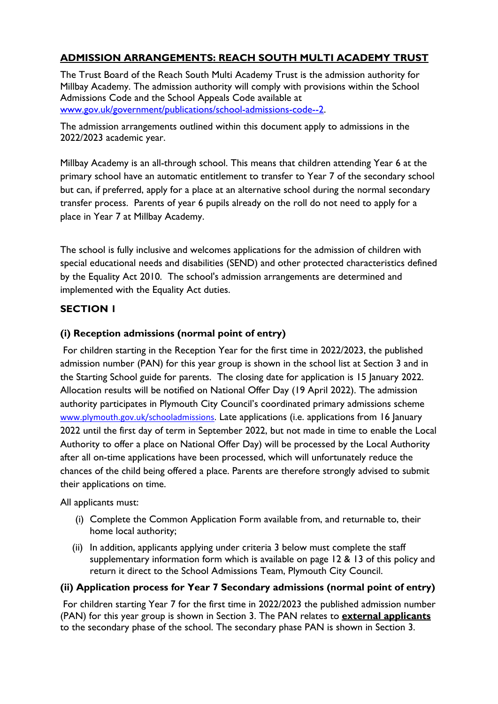# **ADMISSION ARRANGEMENTS: REACH SOUTH MULTI ACADEMY TRUST**

The Trust Board of the Reach South Multi Academy Trust is the admission authority for Millbay Academy. The admission authority will comply with provisions within the School Admissions Code and the School Appeals Code available at [www.gov.uk/government/publications/school-admissions-code--2.](about:blank)

The admission arrangements outlined within this document apply to admissions in the 2022/2023 academic year.

Millbay Academy is an all-through school. This means that children attending Year 6 at the primary school have an automatic entitlement to transfer to Year 7 of the secondary school but can, if preferred, apply for a place at an alternative school during the normal secondary transfer process. Parents of year 6 pupils already on the roll do not need to apply for a place in Year 7 at Millbay Academy.

The school is fully inclusive and welcomes applications for the admission of children with special educational needs and disabilities (SEND) and other protected characteristics defined by the Equality Act 2010. The school's admission arrangements are determined and implemented with the Equality Act duties.

# **SECTION 1**

# **(i) Reception admissions (normal point of entry)**

For children starting in the Reception Year for the first time in 2022/2023, the published admission number (PAN) for this year group is shown in the school list at Section 3 and in the Starting School guide for parents. The closing date for application is 15 January 2022. Allocation results will be notified on National Offer Day (19 April 2022). The admission authority participates in Plymouth City Council's coordinated primary admissions scheme [www.plymouth.gov.uk/schooladmissions.](http://www.plymouth.gov.uk/schooladmissions) Late applications (i.e. applications from 16 January 2022 until the first day of term in September 2022, but not made in time to enable the Local Authority to offer a place on National Offer Day) will be processed by the Local Authority after all on-time applications have been processed, which will unfortunately reduce the chances of the child being offered a place. Parents are therefore strongly advised to submit their applications on time.

All applicants must:

- (i) Complete the Common Application Form available from, and returnable to, their home local authority;
- (ii) In addition, applicants applying under criteria 3 below must complete the staff supplementary information form which is available on page 12 & 13 of this policy and return it direct to the School Admissions Team, Plymouth City Council.

## **(ii) Application process for Year 7 Secondary admissions (normal point of entry)**

For children starting Year 7 for the first time in 2022/2023 the published admission number (PAN) for this year group is shown in Section 3. The PAN relates to **external applicants** to the secondary phase of the school. The secondary phase PAN is shown in Section 3.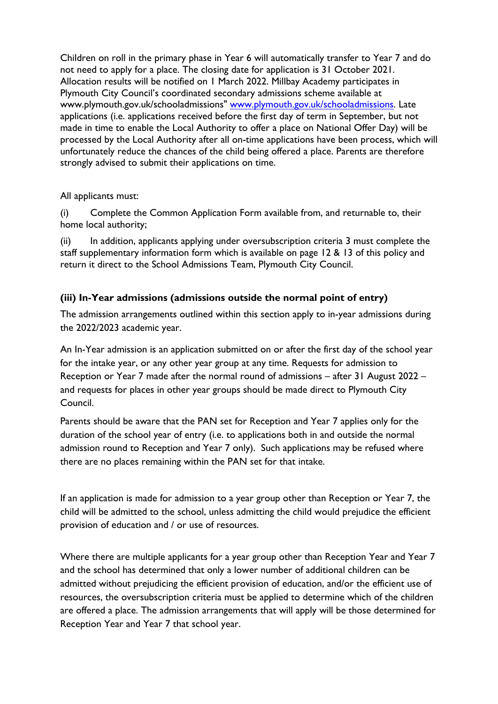Children on roll in the primary phase in Year 6 will automatically transfer to Year 7 and do not need to apply for a place. The closing date for application is 31 October 2021. Allocation results will be notified on 1 March 2022. Millbay Academy participates in Plymouth City Council's coordinated secondary admissions scheme available at www.plymouth.gov.uk/schooladmissions" www.plymouth.gov.uk/schooladmissions. Late applications (i.e. applications received before the first day of term in September, but not made in time to enable the Local Authority to offer a place on National Offer Day) will be processed by the Local Authority after all on-time applications have been process, which will unfortunately reduce the chances of the child being offered a place. Parents are therefore strongly advised to submit their applications on time.

All applicants must:

(i) Complete the Common Application Form available from, and returnable to, their home local authority;

In addition, applicants applying under oversubscription criteria 3 must complete the staff supplementary information form which is available on page 12 & 13 of this policy and return it direct to the School Admissions Team, Plymouth City Council.

# **(iii) In-Year admissions (admissions outside the normal point of entry)**

The admission arrangements outlined within this section apply to in-year admissions during the 2022/2023 academic year.

An In-Year admission is an application submitted on or after the first day of the school year for the intake year, or any other year group at any time. Requests for admission to Reception or Year 7 made after the normal round of admissions – after 31 August 2022 – and requests for places in other year groups should be made direct to Plymouth City Council.

Parents should be aware that the PAN set for Reception and Year 7 applies only for the duration of the school year of entry (i.e. to applications both in and outside the normal admission round to Reception and Year 7 only). Such applications may be refused where there are no places remaining within the PAN set for that intake.

If an application is made for admission to a year group other than Reception or Year 7, the child will be admitted to the school, unless admitting the child would prejudice the efficient provision of education and / or use of resources.

Where there are multiple applicants for a year group other than Reception Year and Year 7 and the school has determined that only a lower number of additional children can be admitted without prejudicing the efficient provision of education, and/or the efficient use of resources, the oversubscription criteria must be applied to determine which of the children are offered a place. The admission arrangements that will apply will be those determined for Reception Year and Year 7 that school year.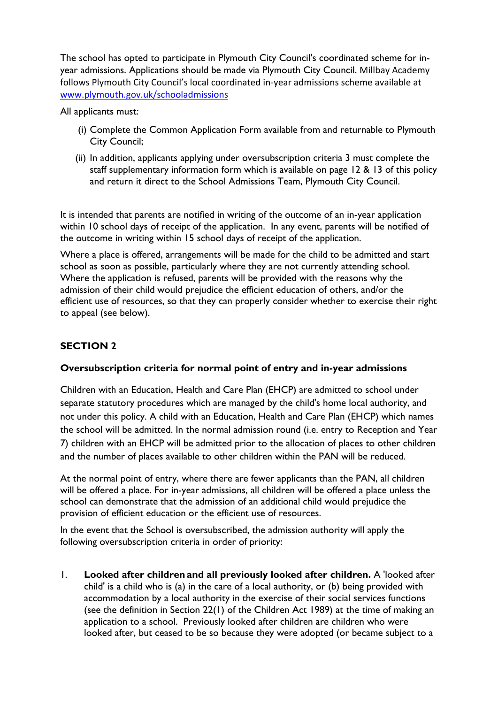The school has opted to participate in Plymouth City Council's coordinated scheme for inyear admissions. Applications should be made via Plymouth City Council. Millbay Academy follows Plymouth City Council's local coordinated in-year admissions scheme available at [www.plymouth.gov.uk/schooladmissions](about:blank)

All applicants must:

- (i) Complete the Common Application Form available from and returnable to Plymouth City Council;
- (ii) In addition, applicants applying under oversubscription criteria 3 must complete the staff supplementary information form which is available on page 12 & 13 of this policy and return it direct to the School Admissions Team, Plymouth City Council.

It is intended that parents are notified in writing of the outcome of an in-year application within 10 school days of receipt of the application. In any event, parents will be notified of the outcome in writing within 15 school days of receipt of the application.

Where a place is offered, arrangements will be made for the child to be admitted and start school as soon as possible, particularly where they are not currently attending school. Where the application is refused, parents will be provided with the reasons why the admission of their child would prejudice the efficient education of others, and/or the efficient use of resources, so that they can properly consider whether to exercise their right to appeal (see below).

# **SECTION 2**

## **Oversubscription criteria for normal point of entry and in-year admissions**

Children with an Education, Health and Care Plan (EHCP) are admitted to school under separate statutory procedures which are managed by the child's home local authority, and not under this policy. A child with an Education, Health and Care Plan (EHCP) which names the school will be admitted. In the normal admission round (i.e. entry to Reception and Year 7) children with an EHCP will be admitted prior to the allocation of places to other children and the number of places available to other children within the PAN will be reduced.

At the normal point of entry, where there are fewer applicants than the PAN, all children will be offered a place. For in-year admissions, all children will be offered a place unless the school can demonstrate that the admission of an additional child would prejudice the provision of efficient education or the efficient use of resources.

In the event that the School is oversubscribed, the admission authority will apply the following oversubscription criteria in order of priority:

1. **Looked after children and all previously looked after children.** A 'looked after child' is a child who is (a) in the care of a local authority, or (b) being provided with accommodation by a local authority in the exercise of their social services functions (see the definition in Section 22(1) of the Children Act 1989) at the time of making an application to a school. Previously looked after children are children who were looked after, but ceased to be so because they were adopted (or became subject to a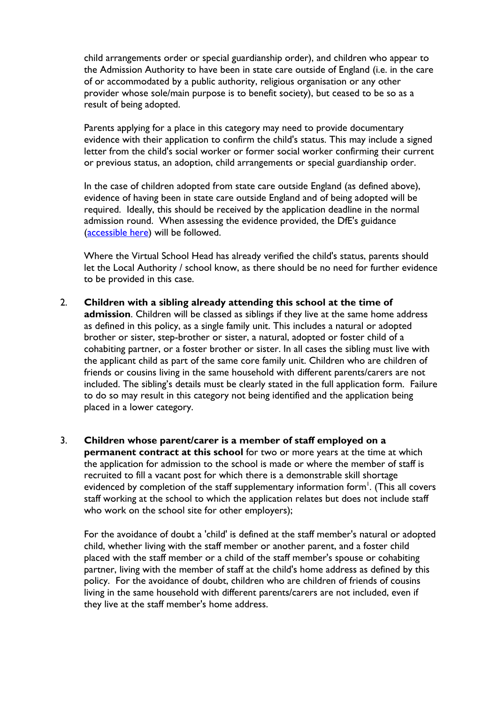child arrangements order or special guardianship order), and children who appear to the Admission Authority to have been in state care outside of England (i.e. in the care of or accommodated by a public authority, religious organisation or any other provider whose sole/main purpose is to benefit society), but ceased to be so as a result of being adopted.

Parents applying for a place in this category may need to provide documentary evidence with their application to confirm the child's status. This may include a signed letter from the child's social worker or former social worker confirming their current or previous status, an adoption, child arrangements or special guardianship order.

In the case of children adopted from state care outside England (as defined above), evidence of having been in state care outside England and of being adopted will be required. Ideally, this should be received by the application deadline in the normal admission round. When assessing the evidence provided, the DfE's guidance [\(accessible here\)](about:blank) will be followed.

Where the Virtual School Head has already verified the child's status, parents should let the Local Authority / school know, as there should be no need for further evidence to be provided in this case.

- 2. **Children with a sibling already attending this school at the time of admission**. Children will be classed as siblings if they live at the same home address as defined in this policy, as a single family unit. This includes a natural or adopted brother or sister, step-brother or sister, a natural, adopted or foster child of a cohabiting partner, or a foster brother or sister. In all cases the sibling must live with the applicant child as part of the same core family unit. Children who are children of friends or cousins living in the same household with different parents/carers are not included. The sibling's details must be clearly stated in the full application form. Failure to do so may result in this category not being identified and the application being placed in a lower category.
- 3. **Children whose parent/carer is a member of staff employed on a permanent contract at this school** for two or more years at the time at which the application for admission to the school is made or where the member of staff is recruited to fill a vacant post for which there is a demonstrable skill shortage evidenced by completion of the staff supplementary information form<sup>1</sup>. (This all covers staff working at the school to which the application relates but does not include staff who work on the school site for other employers);

For the avoidance of doubt a 'child' is defined at the staff member's natural or adopted child, whether living with the staff member or another parent, and a foster child placed with the staff member or a child of the staff member's spouse or cohabiting partner, living with the member of staff at the child's home address as defined by this policy. For the avoidance of doubt, children who are children of friends of cousins living in the same household with different parents/carers are not included, even if they live at the staff member's home address.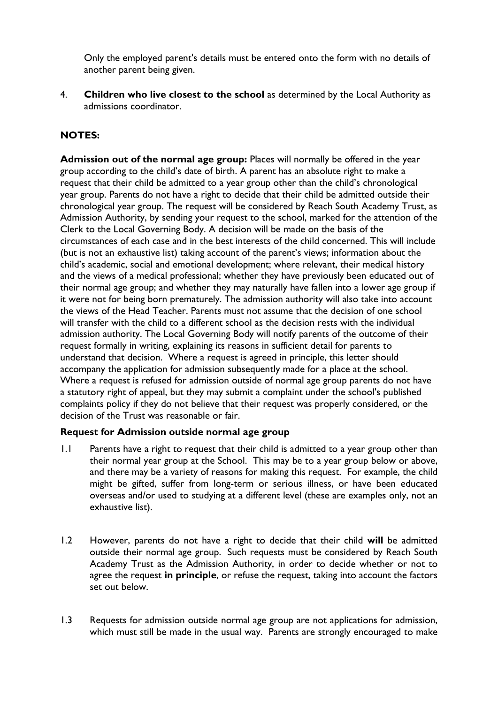Only the employed parent's details must be entered onto the form with no details of another parent being given.

4. **Children who live closest to the school** as determined by the Local Authority as admissions coordinator.

# **NOTES:**

**Admission out of the normal age group:** Places will normally be offered in the year group according to the child's date of birth. A parent has an absolute right to make a request that their child be admitted to a year group other than the child's chronological year group. Parents do not have a right to decide that their child be admitted outside their chronological year group. The request will be considered by Reach South Academy Trust, as Admission Authority, by sending your request to the school, marked for the attention of the Clerk to the Local Governing Body. A decision will be made on the basis of the circumstances of each case and in the best interests of the child concerned. This will include (but is not an exhaustive list) taking account of the parent's views; information about the child's academic, social and emotional development; where relevant, their medical history and the views of a medical professional; whether they have previously been educated out of their normal age group; and whether they may naturally have fallen into a lower age group if it were not for being born prematurely. The admission authority will also take into account the views of the Head Teacher. Parents must not assume that the decision of one school will transfer with the child to a different school as the decision rests with the individual admission authority. The Local Governing Body will notify parents of the outcome of their request formally in writing, explaining its reasons in sufficient detail for parents to understand that decision. Where a request is agreed in principle, this letter should accompany the application for admission subsequently made for a place at the school. Where a request is refused for admission outside of normal age group parents do not have a statutory right of appeal, but they may submit a complaint under the school's published complaints policy if they do not believe that their request was properly considered, or the decision of the Trust was reasonable or fair.

## **Request for Admission outside normal age group**

- 1.1 Parents have a right to request that their child is admitted to a year group other than their normal year group at the School. This may be to a year group below or above, and there may be a variety of reasons for making this request. For example, the child might be gifted, suffer from long-term or serious illness, or have been educated overseas and/or used to studying at a different level (these are examples only, not an exhaustive list).
- 1.2 However, parents do not have a right to decide that their child **will** be admitted outside their normal age group. Such requests must be considered by Reach South Academy Trust as the Admission Authority, in order to decide whether or not to agree the request **in principle**, or refuse the request, taking into account the factors set out below.
- 1.3 Requests for admission outside normal age group are not applications for admission, which must still be made in the usual way. Parents are strongly encouraged to make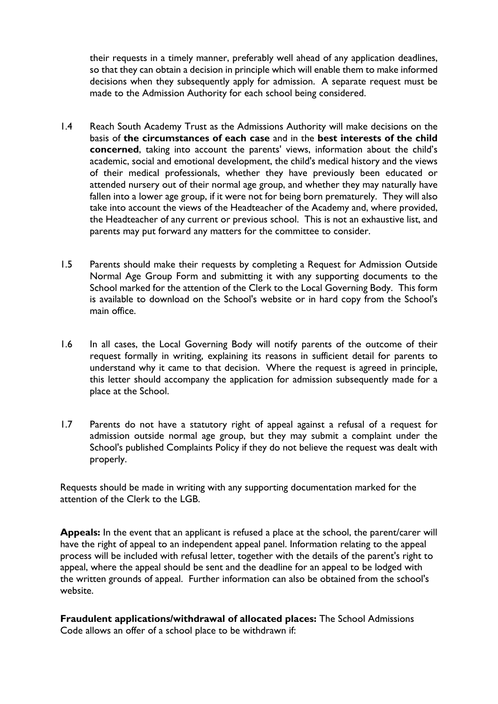their requests in a timely manner, preferably well ahead of any application deadlines, so that they can obtain a decision in principle which will enable them to make informed decisions when they subsequently apply for admission. A separate request must be made to the Admission Authority for each school being considered.

- 1.4 Reach South Academy Trust as the Admissions Authority will make decisions on the basis of **the circumstances of each case** and in the **best interests of the child concerned**, taking into account the parents' views, information about the child's academic, social and emotional development, the child's medical history and the views of their medical professionals, whether they have previously been educated or attended nursery out of their normal age group, and whether they may naturally have fallen into a lower age group, if it were not for being born prematurely. They will also take into account the views of the Headteacher of the Academy and, where provided, the Headteacher of any current or previous school. This is not an exhaustive list, and parents may put forward any matters for the committee to consider.
- 1.5 Parents should make their requests by completing a Request for Admission Outside Normal Age Group Form and submitting it with any supporting documents to the School marked for the attention of the Clerk to the Local Governing Body. This form is available to download on the School's website or in hard copy from the School's main office.
- 1.6 In all cases, the Local Governing Body will notify parents of the outcome of their request formally in writing, explaining its reasons in sufficient detail for parents to understand why it came to that decision. Where the request is agreed in principle, this letter should accompany the application for admission subsequently made for a place at the School.
- 1.7 Parents do not have a statutory right of appeal against a refusal of a request for admission outside normal age group, but they may submit a complaint under the School's published Complaints Policy if they do not believe the request was dealt with properly.

Requests should be made in writing with any supporting documentation marked for the attention of the Clerk to the LGB.

**Appeals:** In the event that an applicant is refused a place at the school, the parent/carer will have the right of appeal to an independent appeal panel. Information relating to the appeal process will be included with refusal letter, together with the details of the parent's right to appeal, where the appeal should be sent and the deadline for an appeal to be lodged with the written grounds of appeal. Further information can also be obtained from the school's website.

**Fraudulent applications/withdrawal of allocated places:** The School Admissions Code allows an offer of a school place to be withdrawn if: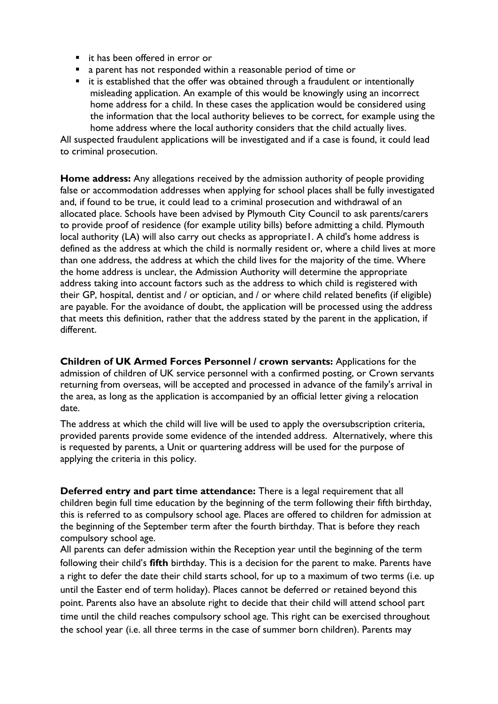- it has been offered in error or
- a parent has not responded within a reasonable period of time or
- it is established that the offer was obtained through a fraudulent or intentionally misleading application. An example of this would be knowingly using an incorrect home address for a child. In these cases the application would be considered using the information that the local authority believes to be correct, for example using the home address where the local authority considers that the child actually lives.

All suspected fraudulent applications will be investigated and if a case is found, it could lead to criminal prosecution.

**Home address:** Any allegations received by the admission authority of people providing false or accommodation addresses when applying for school places shall be fully investigated and, if found to be true, it could lead to a criminal prosecution and withdrawal of an allocated place. Schools have been advised by Plymouth City Council to ask parents/carers to provide proof of residence (for example utility bills) before admitting a child. Plymouth local authority (LA) will also carry out checks as appropriate1. A child's home address is defined as the address at which the child is normally resident or, where a child lives at more than one address, the address at which the child lives for the majority of the time. Where the home address is unclear, the Admission Authority will determine the appropriate address taking into account factors such as the address to which child is registered with their GP, hospital, dentist and / or optician, and / or where child related benefits (if eligible) are payable. For the avoidance of doubt, the application will be processed using the address that meets this definition, rather that the address stated by the parent in the application, if different.

**Children of UK Armed Forces Personnel / crown servants:** Applications for the admission of children of UK service personnel with a confirmed posting, or Crown servants returning from overseas, will be accepted and processed in advance of the family's arrival in the area, as long as the application is accompanied by an official letter giving a relocation date.

The address at which the child will live will be used to apply the oversubscription criteria, provided parents provide some evidence of the intended address. Alternatively, where this is requested by parents, a Unit or quartering address will be used for the purpose of applying the criteria in this policy.

**Deferred entry and part time attendance:** There is a legal requirement that all children begin full time education by the beginning of the term following their fifth birthday, this is referred to as compulsory school age. Places are offered to children for admission at the beginning of the September term after the fourth birthday. That is before they reach compulsory school age.

All parents can defer admission within the Reception year until the beginning of the term following their child's **fifth** birthday. This is a decision for the parent to make. Parents have a right to defer the date their child starts school, for up to a maximum of two terms (i.e. up until the Easter end of term holiday). Places cannot be deferred or retained beyond this point. Parents also have an absolute right to decide that their child will attend school part time until the child reaches compulsory school age. This right can be exercised throughout the school year (i.e. all three terms in the case of summer born children). Parents may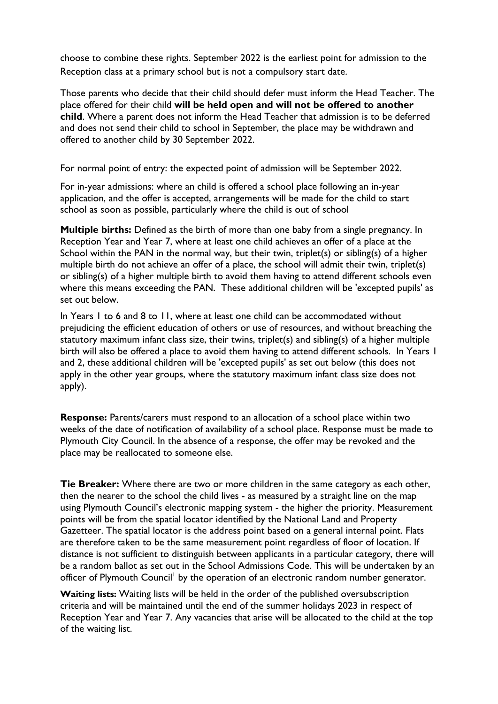choose to combine these rights. September 2022 is the earliest point for admission to the Reception class at a primary school but is not a compulsory start date.

Those parents who decide that their child should defer must inform the Head Teacher. The place offered for their child **will be held open and will not be offered to another child**. Where a parent does not inform the Head Teacher that admission is to be deferred and does not send their child to school in September, the place may be withdrawn and offered to another child by 30 September 2022.

For normal point of entry: the expected point of admission will be September 2022.

For in-year admissions: where an child is offered a school place following an in-year application, and the offer is accepted, arrangements will be made for the child to start school as soon as possible, particularly where the child is out of school

**Multiple births:** Defined as the birth of more than one baby from a single pregnancy. In Reception Year and Year 7, where at least one child achieves an offer of a place at the School within the PAN in the normal way, but their twin, triplet(s) or sibling(s) of a higher multiple birth do not achieve an offer of a place, the school will admit their twin, triplet(s) or sibling(s) of a higher multiple birth to avoid them having to attend different schools even where this means exceeding the PAN. These additional children will be 'excepted pupils' as set out below.

In Years 1 to 6 and 8 to 11, where at least one child can be accommodated without prejudicing the efficient education of others or use of resources, and without breaching the statutory maximum infant class size, their twins, triplet(s) and sibling(s) of a higher multiple birth will also be offered a place to avoid them having to attend different schools. In Years 1 and 2, these additional children will be 'excepted pupils' as set out below (this does not apply in the other year groups, where the statutory maximum infant class size does not apply).

**Response:** Parents/carers must respond to an allocation of a school place within two weeks of the date of notification of availability of a school place. Response must be made to Plymouth City Council. In the absence of a response, the offer may be revoked and the place may be reallocated to someone else.

**Tie Breaker:** Where there are two or more children in the same category as each other, then the nearer to the school the child lives - as measured by a straight line on the map using Plymouth Council's electronic mapping system - the higher the priority. Measurement points will be from the spatial locator identified by the National Land and Property Gazetteer. The spatial locator is the address point based on a general internal point. Flats are therefore taken to be the same measurement point regardless of floor of location. If distance is not sufficient to distinguish between applicants in a particular category, there will be a random ballot as set out in the School Admissions Code. This will be undertaken by an officer of Plymouth Council<sup>1</sup> by the operation of an electronic random number generator.

**Waiting lists:** Waiting lists will be held in the order of the published oversubscription criteria and will be maintained until the end of the summer holidays 2023 in respect of Reception Year and Year 7. Any vacancies that arise will be allocated to the child at the top of the waiting list.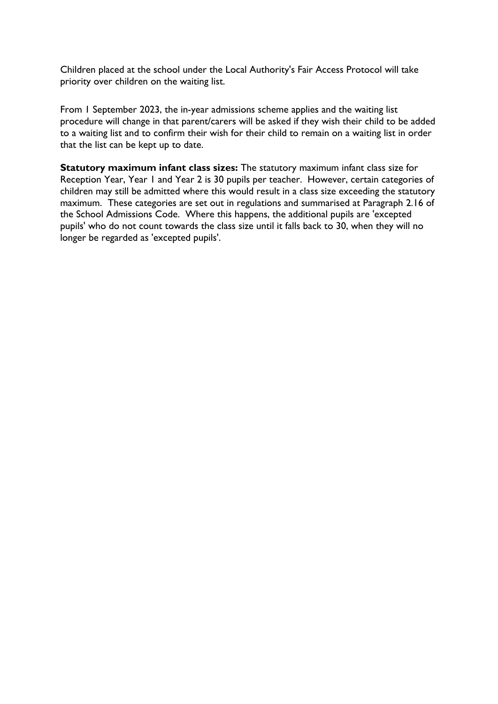Children placed at the school under the Local Authority's Fair Access Protocol will take priority over children on the waiting list.

From 1 September 2023, the in-year admissions scheme applies and the waiting list procedure will change in that parent/carers will be asked if they wish their child to be added to a waiting list and to confirm their wish for their child to remain on a waiting list in order that the list can be kept up to date.

**Statutory maximum infant class sizes:** The statutory maximum infant class size for Reception Year, Year 1 and Year 2 is 30 pupils per teacher. However, certain categories of children may still be admitted where this would result in a class size exceeding the statutory maximum. These categories are set out in regulations and summarised at Paragraph 2.16 of the School Admissions Code. Where this happens, the additional pupils are 'excepted pupils' who do not count towards the class size until it falls back to 30, when they will no longer be regarded as 'excepted pupils'.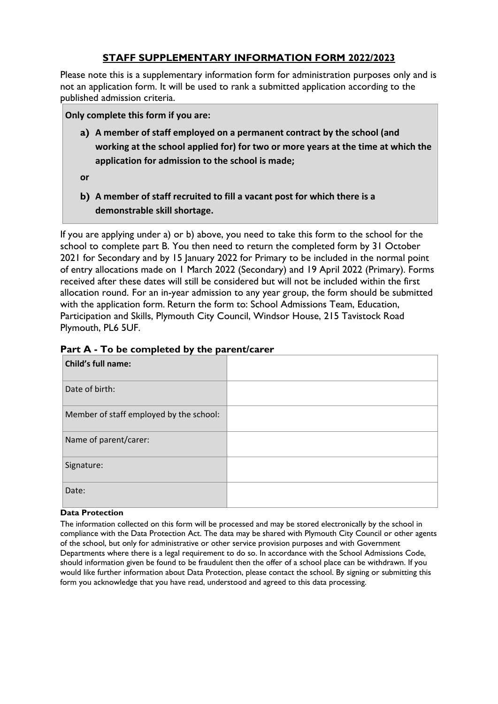# **STAFF SUPPLEMENTARY INFORMATION FORM 2022/2023**

Please note this is a supplementary information form for administration purposes only and is not an application form. It will be used to rank a submitted application according to the published admission criteria.

**Only complete this form if you are:**

- **a) A member of staff employed on a permanent contract by the school (and working at the school applied for) for two or more years at the time at which the application for admission to the school is made;**
- **or**
- **b) A member of staff recruited to fill a vacant post for which there is a demonstrable skill shortage.**

If you are applying under a) or b) above, you need to take this form to the school for the school to complete part B. You then need to return the completed form by 31 October 2021 for Secondary and by 15 January 2022 for Primary to be included in the normal point of entry allocations made on 1 March 2022 (Secondary) and 19 April 2022 (Primary). Forms received after these dates will still be considered but will not be included within the first allocation round. For an in-year admission to any year group, the form should be submitted with the application form. Return the form to: School Admissions Team, Education, Participation and Skills, Plymouth City Council, Windsor House, 215 Tavistock Road Plymouth, PL6 5UF.

| Part A - To be completed by the parent/carer |  |  |
|----------------------------------------------|--|--|
|----------------------------------------------|--|--|

| <b>Child's full name:</b>               |  |
|-----------------------------------------|--|
| Date of birth:                          |  |
| Member of staff employed by the school: |  |
| Name of parent/carer:                   |  |
| Signature:                              |  |
| Date:                                   |  |

#### **Data Protection**

The information collected on this form will be processed and may be stored electronically by the school in compliance with the Data Protection Act. The data may be shared with Plymouth City Council or other agents of the school, but only for administrative or other service provision purposes and with Government Departments where there is a legal requirement to do so. In accordance with the School Admissions Code, should information given be found to be fraudulent then the offer of a school place can be withdrawn. If you would like further information about Data Protection, please contact the school. By signing or submitting this form you acknowledge that you have read, understood and agreed to this data processing.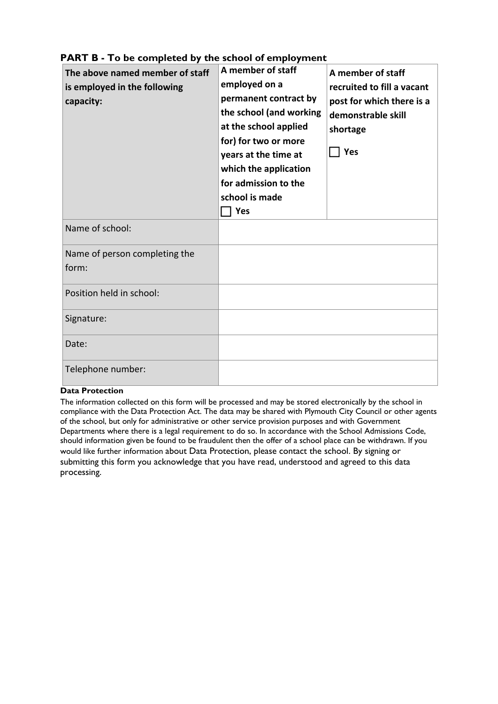| The above named member of staff<br>is employed in the following<br>capacity: | A member of staff<br>employed on a<br>permanent contract by<br>the school (and working<br>at the school applied<br>for) for two or more<br>years at the time at<br>which the application<br>for admission to the<br>school is made<br>Yes | A member of staff<br>recruited to fill a vacant<br>post for which there is a<br>demonstrable skill<br>shortage<br>Yes |
|------------------------------------------------------------------------------|-------------------------------------------------------------------------------------------------------------------------------------------------------------------------------------------------------------------------------------------|-----------------------------------------------------------------------------------------------------------------------|
| Name of school:                                                              |                                                                                                                                                                                                                                           |                                                                                                                       |
| Name of person completing the<br>form:                                       |                                                                                                                                                                                                                                           |                                                                                                                       |
| Position held in school:                                                     |                                                                                                                                                                                                                                           |                                                                                                                       |
| Signature:                                                                   |                                                                                                                                                                                                                                           |                                                                                                                       |
| Date:                                                                        |                                                                                                                                                                                                                                           |                                                                                                                       |
| Telephone number:                                                            |                                                                                                                                                                                                                                           |                                                                                                                       |

# **PART B - To be completed by the school of employment**

#### **Data Protection**

The information collected on this form will be processed and may be stored electronically by the school in compliance with the Data Protection Act. The data may be shared with Plymouth City Council or other agents of the school, but only for administrative or other service provision purposes and with Government Departments where there is a legal requirement to do so. In accordance with the School Admissions Code, should information given be found to be fraudulent then the offer of a school place can be withdrawn. If you would like further information about Data Protection, please contact the school. By signing or submitting this form you acknowledge that you have read, understood and agreed to this data processing.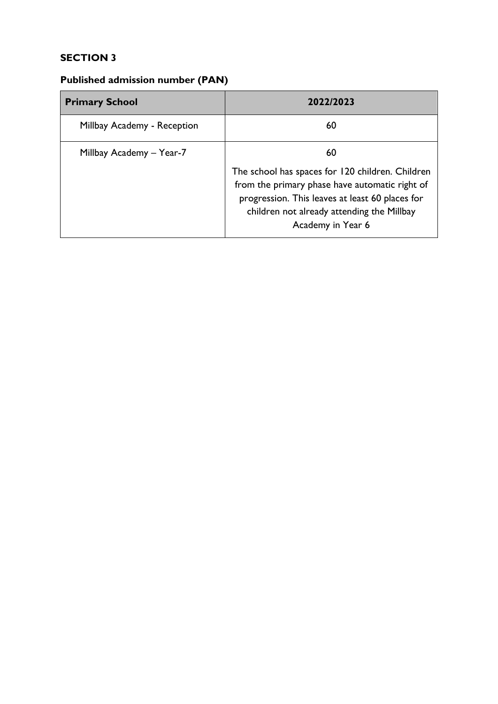# **SECTION 3**

# **Published admission number (PAN)**

| <b>Primary School</b>       | 2022/2023                                                                                                                                                                                                                |  |
|-----------------------------|--------------------------------------------------------------------------------------------------------------------------------------------------------------------------------------------------------------------------|--|
| Millbay Academy - Reception | 60                                                                                                                                                                                                                       |  |
| Millbay Academy – Year-7    | 60                                                                                                                                                                                                                       |  |
|                             | The school has spaces for 120 children. Children<br>from the primary phase have automatic right of<br>progression. This leaves at least 60 places for<br>children not already attending the Millbay<br>Academy in Year 6 |  |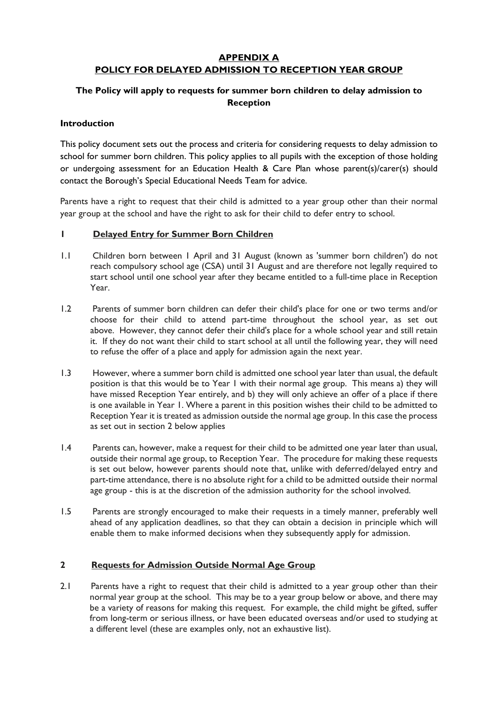## **APPENDIX A POLICY FOR DELAYED ADMISSION TO RECEPTION YEAR GROUP**

## **The Policy will apply to requests for summer born children to delay admission to Reception**

#### **Introduction**

This policy document sets out the process and criteria for considering requests to delay admission to school for summer born children. This policy applies to all pupils with the exception of those holding or undergoing assessment for an Education Health & Care Plan whose parent(s)/carer(s) should contact the Borough's Special Educational Needs Team for advice.

Parents have a right to request that their child is admitted to a year group other than their normal year group at the school and have the right to ask for their child to defer entry to school.

#### **1 Delayed Entry for Summer Born Children**

- 1.1 Children born between 1 April and 31 August (known as 'summer born children') do not reach compulsory school age (CSA) until 31 August and are therefore not legally required to start school until one school year after they became entitled to a full-time place in Reception Year.
- 1.2 Parents of summer born children can defer their child's place for one or two terms and/or choose for their child to attend part-time throughout the school year, as set out above. However, they cannot defer their child's place for a whole school year and still retain it. If they do not want their child to start school at all until the following year, they will need to refuse the offer of a place and apply for admission again the next year.
- 1.3 However, where a summer born child is admitted one school year later than usual, the default position is that this would be to Year 1 with their normal age group. This means a) they will have missed Reception Year entirely, and b) they will only achieve an offer of a place if there is one available in Year 1. Where a parent in this position wishes their child to be admitted to Reception Year it is treated as admission outside the normal age group. In this case the process as set out in section 2 below applies
- 1.4 Parents can, however, make a request for their child to be admitted one year later than usual, outside their normal age group, to Reception Year. The procedure for making these requests is set out below, however parents should note that, unlike with deferred/delayed entry and part-time attendance, there is no absolute right for a child to be admitted outside their normal age group - this is at the discretion of the admission authority for the school involved.
- 1.5 Parents are strongly encouraged to make their requests in a timely manner, preferably well ahead of any application deadlines, so that they can obtain a decision in principle which will enable them to make informed decisions when they subsequently apply for admission.

#### **2 Requests for Admission Outside Normal Age Group**

2.1 Parents have a right to request that their child is admitted to a year group other than their normal year group at the school. This may be to a year group below or above, and there may be a variety of reasons for making this request. For example, the child might be gifted, suffer from long-term or serious illness, or have been educated overseas and/or used to studying at a different level (these are examples only, not an exhaustive list).